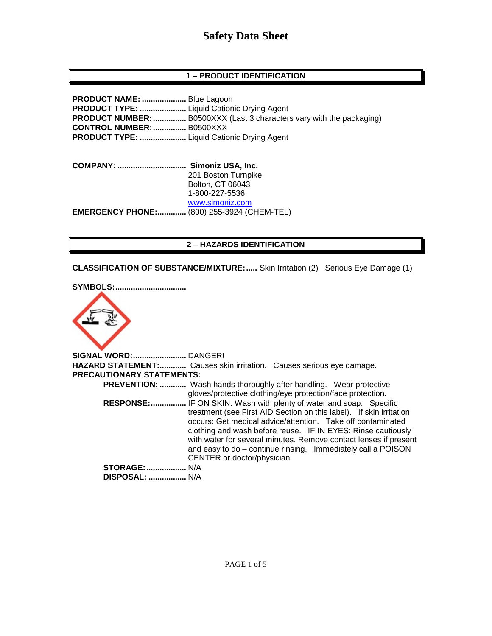# **Safety Data Sheet**

## **1 – PRODUCT IDENTIFICATION**

**PRODUCT NAME: ....................** Blue Lagoon **PRODUCT TYPE: .....................** Liquid Cationic Drying Agent **PRODUCT NUMBER:...............** B0500XXX (Last 3 characters vary with the packaging) **CONTROL NUMBER:...............** B0500XXX **PRODUCT TYPE: .....................** Liquid Cationic Drying Agent

**COMPANY: ............................... Simoniz USA, Inc.** 201 Boston Turnpike Bolton, CT 06043 1-800-227-5536 [www.simoniz.com](http://www.simoniz.com/) **EMERGENCY PHONE:.............** (800) 255-3924 (CHEM-TEL)

### **2 – HAZARDS IDENTIFICATION**

**CLASSIFICATION OF SUBSTANCE/MIXTURE:.....** Skin Irritation (2) Serious Eye Damage (1)

**SYMBOLS:................................**



**SIGNAL WORD:........................** DANGER! **HAZARD STATEMENT:............** Causes skin irritation. Causes serious eye damage. **PRECAUTIONARY STATEMENTS: PREVENTION: ............** Wash hands thoroughly after handling. Wear protective gloves/protective clothing/eye protection/face protection.  **RESPONSE:................** IF ON SKIN: Wash with plenty of water and soap. Specific treatment (see First AID Section on this label). If skin irritation occurs: Get medical advice/attention. Take off contaminated clothing and wash before reuse. IF IN EYES: Rinse cautiously with water for several minutes. Remove contact lenses if present and easy to do – continue rinsing. Immediately call a POISON CENTER or doctor/physician. **STORAGE:..................** N/A  **DISPOSAL: .................** N/A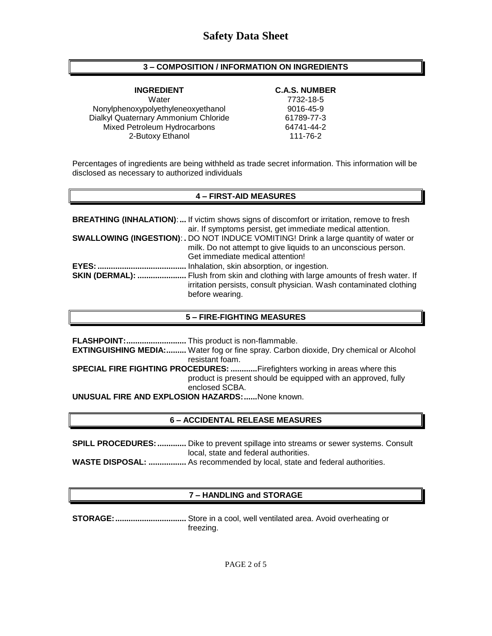## **3 – COMPOSITION / INFORMATION ON INGREDIENTS**

Water 7732-18-5 Nonylphenoxypolyethyleneoxyethanol 9016-45-9 Dialkyl Quaternary Ammonium Chloride 61789-77-3 Mixed Petroleum Hydrocarbons 64741-44-2 2-Butoxy Ethanol 111-76-2

#### **INGREDIENT C.A.S. NUMBER**

Percentages of ingredients are being withheld as trade secret information. This information will be disclosed as necessary to authorized individuals

## **4 – FIRST-AID MEASURES**

| <b>BREATHING (INHALATION):</b> If victim shows signs of discomfort or irritation, remove to fresh                                                                                  |
|------------------------------------------------------------------------------------------------------------------------------------------------------------------------------------|
| air. If symptoms persist, get immediate medical attention.                                                                                                                         |
| <b>SWALLOWING (INGESTION): .</b> DO NOT INDUCE VOMITING! Drink a large quantity of water or                                                                                        |
| milk. Do not attempt to give liquids to an unconscious person.                                                                                                                     |
| Get immediate medical attention!                                                                                                                                                   |
| Inhalation, skin absorption, or ingestion.                                                                                                                                         |
| <b>SKIN (DERMAL): </b> Flush from skin and clothing with large amounts of fresh water. If<br>irritation persists, consult physician. Wash contaminated clothing<br>before wearing. |

### **5 – FIRE-FIGHTING MEASURES**

**FLASHPOINT:...........................** This product is non-flammable. **EXTINGUISHING MEDIA:.........** Water fog or fine spray. Carbon dioxide, Dry chemical or Alcohol resistant foam. **SPECIAL FIRE FIGHTING PROCEDURES: ............**Firefighters working in areas where this product is present should be equipped with an approved, fully enclosed SCBA. **UNUSUAL FIRE AND EXPLOSION HAZARDS:......**None known.

# **6 – ACCIDENTAL RELEASE MEASURES**

**SPILL PROCEDURES:.............** Dike to prevent spillage into streams or sewer systems. Consult local, state and federal authorities.

**WASTE DISPOSAL: .................** As recommended by local, state and federal authorities.

# **7 – HANDLING and STORAGE**

**STORAGE:................................** Store in a cool, well ventilated area. Avoid overheating or freezing.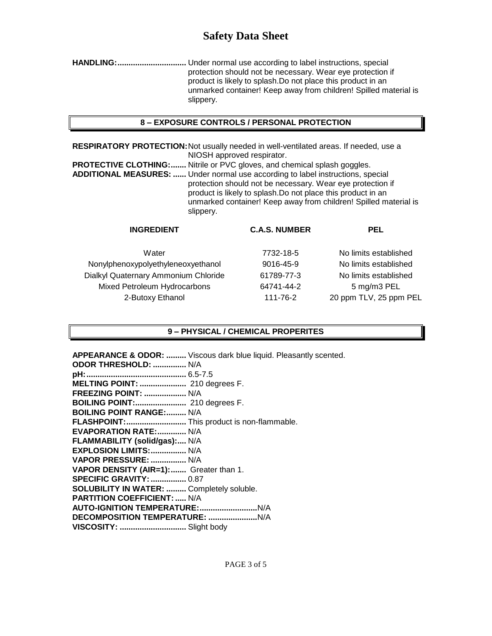# **Safety Data Sheet**

**HANDLING:...............................** Under normal use according to label instructions, special protection should not be necessary. Wear eye protection if product is likely to splash.Do not place this product in an unmarked container! Keep away from children! Spilled material is slippery.

## **8 – EXPOSURE CONTROLS / PERSONAL PROTECTION**

**RESPIRATORY PROTECTION:**Not usually needed in well-ventilated areas. If needed, use a NIOSH approved respirator.

**PROTECTIVE CLOTHING:.......** Nitrile or PVC gloves, and chemical splash goggles. **ADDITIONAL MEASURES: ......** Under normal use according to label instructions, special protection should not be necessary. Wear eye protection if product is likely to splash.Do not place this product in an unmarked container! Keep away from children! Spilled material is slippery.

| <b>INGREDIENT</b>                    | <b>C.A.S. NUMBER</b> | <b>PEL</b>             |
|--------------------------------------|----------------------|------------------------|
| Water                                | 7732-18-5            | No limits established  |
| Nonylphenoxypolyethyleneoxyethanol   | 9016-45-9            | No limits established  |
| Dialkyl Quaternary Ammonium Chloride | 61789-77-3           | No limits established  |
| Mixed Petroleum Hydrocarbons         | 64741-44-2           | 5 mg/m3 PEL            |
| 2-Butoxy Ethanol                     | 111-76-2             | 20 ppm TLV, 25 ppm PEL |
|                                      |                      |                        |

# **9 – PHYSICAL / CHEMICAL PROPERITES**

**APPEARANCE & ODOR: .........** Viscous dark blue liquid. Pleasantly scented. **ODOR THRESHOLD: ...............** N/A **pH:.............................................** 6.5-7.5 **MELTING POINT: .....................** 210 degrees F. **FREEZING POINT: ...................** N/A **BOILING POINT:.......................** 210 degrees F. **BOILING POINT RANGE:.........** N/A **FLASHPOINT:...........................** This product is non-flammable. **EVAPORATION RATE:.............** N/A

**FLAMMABILITY (solid/gas):....** N/A **EXPLOSION LIMITS:................** N/A **VAPOR PRESSURE: ................** N/A **VAPOR DENSITY (AIR=1):.......** Greater than 1. **SPECIFIC GRAVITY:................** 0.87 **SOLUBILITY IN WATER: .........** Completely soluble. **PARTITION COEFFICIENT: .....** N/A **AUTO-IGNITION TEMPERATURE:..........................**N/A **DECOMPOSITION TEMPERATURE: ......................**N/A **VISCOSITY: ..............................** Slight body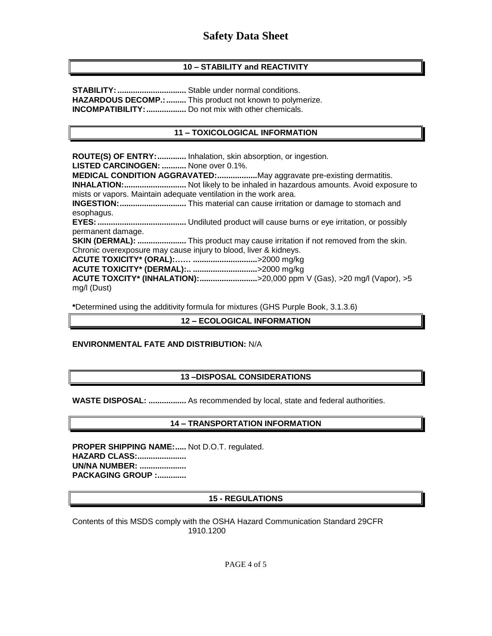# **10 – STABILITY and REACTIVITY**

**STABILITY:...............................** Stable under normal conditions. **HAZARDOUS DECOMP.:.........** This product not known to polymerize. **INCOMPATIBILITY:..................** Do not mix with other chemicals.

## **11 – TOXICOLOGICAL INFORMATION**

**ROUTE(S) OF ENTRY:.............** Inhalation, skin absorption, or ingestion. **LISTED CARCINOGEN: ...........** None over 0.1%. **MEDICAL CONDITION AGGRAVATED:..................**May aggravate pre-existing dermatitis. **INHALATION:............................** Not likely to be inhaled in hazardous amounts. Avoid exposure to mists or vapors. Maintain adequate ventilation in the work area. **INGESTION:..............................** This material can cause irritation or damage to stomach and esophagus. **EYES:........................................** Undiluted product will cause burns or eye irritation, or possibly permanent damage. **SKIN (DERMAL): ......................** This product may cause irritation if not removed from the skin. Chronic overexposure may cause injury to blood, liver & kidneys. **ACUTE TOXICITY\* (ORAL):…… .............................**>2000 mg/kg **ACUTE TOXICITY\* (DERMAL):.. .............................**>2000 mg/kg **ACUTE TOXCITY\* (INHALATION):..........................**>20,000 ppm V (Gas), >20 mg/l (Vapor), >5 mg/l (Dust)

**\***Determined using the additivity formula for mixtures (GHS Purple Book, 3.1.3.6)

### **12 – ECOLOGICAL INFORMATION**

### **ENVIRONMENTAL FATE AND DISTRIBUTION:** N/A

### **13 –DISPOSAL CONSIDERATIONS**

**WASTE DISPOSAL: .................** As recommended by local, state and federal authorities.

### **14 – TRANSPORTATION INFORMATION**

**PROPER SHIPPING NAME:.....** Not D.O.T. regulated. **HAZARD CLASS:...................... UN/NA NUMBER: ..................... PACKAGING GROUP :.............**

### **15 - REGULATIONS**

Contents of this MSDS comply with the OSHA Hazard Communication Standard 29CFR 1910.1200